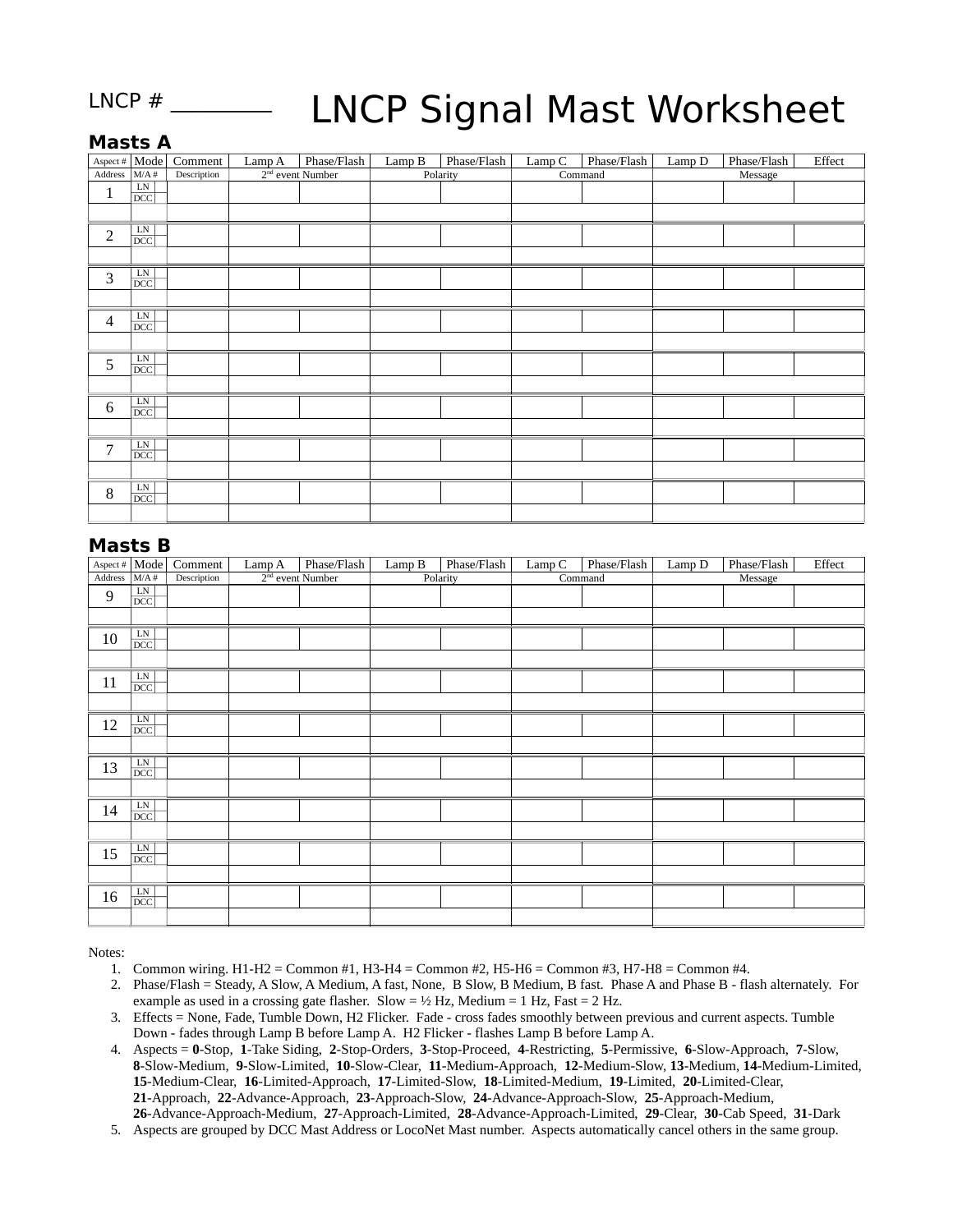#### LNCP  $#$

# LNCP Signal Mast Worksheet

### **Masts A**

| Aspect # $Mode$ |                                | Comment     | Lamp A             | Phase/Flash | Lamp B   | Phase/Flash | Lamp C  | Phase/Flash | Lamp D  | Phase/Flash | Effect |
|-----------------|--------------------------------|-------------|--------------------|-------------|----------|-------------|---------|-------------|---------|-------------|--------|
| Address         | M/A#                           | Description | $2nd$ event Number |             | Polarity |             | Command |             | Message |             |        |
| $\mathbf{1}$    | $\frac{\text{LN}}{\text{DCC}}$ |             |                    |             |          |             |         |             |         |             |        |
|                 |                                |             |                    |             |          |             |         |             |         |             |        |
| $\overline{2}$  | $\frac{\text{LN}}{\text{DCC}}$ |             |                    |             |          |             |         |             |         |             |        |
|                 |                                |             |                    |             |          |             |         |             |         |             |        |
| 3               | $\frac{\text{LN}}{\text{DCC}}$ |             |                    |             |          |             |         |             |         |             |        |
|                 |                                |             |                    |             |          |             |         |             |         |             |        |
| $\overline{4}$  | $\frac{\text{LN}}{\text{DCC}}$ |             |                    |             |          |             |         |             |         |             |        |
|                 |                                |             |                    |             |          |             |         |             |         |             |        |
| 5               | $\frac{\text{LN}}{\text{DCC}}$ |             |                    |             |          |             |         |             |         |             |        |
|                 |                                |             |                    |             |          |             |         |             |         |             |        |
| $\,6\,$         | $\frac{\text{LN}}{\text{DCC}}$ |             |                    |             |          |             |         |             |         |             |        |
|                 |                                |             |                    |             |          |             |         |             |         |             |        |
| 7               | $\frac{\text{LN}}{\text{DCC}}$ |             |                    |             |          |             |         |             |         |             |        |
|                 |                                |             |                    |             |          |             |         |             |         |             |        |
| 8               | $\frac{\text{LN}}{\text{DCC}}$ |             |                    |             |          |             |         |             |         |             |        |
|                 |                                |             |                    |             |          |             |         |             |         |             |        |

#### **Masts B**

| Aspect # $\vert$ Mode $\vert$ |                                | Comment     | Lamp A | Phase/Flash        | Lamp B   | Phase/Flash | Lamp C  | Phase/Flash | Lamp D  | Phase/Flash | Effect |
|-------------------------------|--------------------------------|-------------|--------|--------------------|----------|-------------|---------|-------------|---------|-------------|--------|
| Address                       | M/A#                           | Description |        | $2nd$ event Number | Polarity |             | Command |             | Message |             |        |
| $9\,$                         | $\frac{\text{LN}}{\text{DCC}}$ |             |        |                    |          |             |         |             |         |             |        |
|                               |                                |             |        |                    |          |             |         |             |         |             |        |
| $10\,$                        | $\frac{\text{LN}}{\text{DCC}}$ |             |        |                    |          |             |         |             |         |             |        |
|                               |                                |             |        |                    |          |             |         |             |         |             |        |
| $11\,$                        | $\frac{\text{LN}}{\text{DCC}}$ |             |        |                    |          |             |         |             |         |             |        |
|                               |                                |             |        |                    |          |             |         |             |         |             |        |
| 12                            | $rac{\text{LN}}{\text{DCC}}$   |             |        |                    |          |             |         |             |         |             |        |
|                               |                                |             |        |                    |          |             |         |             |         |             |        |
| 13                            | $\frac{\text{LN}}{\text{DCC}}$ |             |        |                    |          |             |         |             |         |             |        |
|                               |                                |             |        |                    |          |             |         |             |         |             |        |
| 14                            | $\frac{\text{LN}}{\text{DCC}}$ |             |        |                    |          |             |         |             |         |             |        |
|                               |                                |             |        |                    |          |             |         |             |         |             |        |
| 15                            | $\frac{\text{LN}}{\text{DCC}}$ |             |        |                    |          |             |         |             |         |             |        |
|                               |                                |             |        |                    |          |             |         |             |         |             |        |
| 16                            | $\frac{\text{LN}}{\text{DCC}}$ |             |        |                    |          |             |         |             |         |             |        |
|                               |                                |             |        |                    |          |             |         |             |         |             |        |

Notes:

- 1. Common wiring. H1-H2 = Common #1, H3-H4 = Common #2, H5-H6 = Common #3, H7-H8 = Common #4.
- 2. Phase/Flash = Steady, A Slow, A Medium, A fast, None, B Slow, B Medium, B fast. Phase A and Phase B flash alternately. For example as used in a crossing gate flasher. Slow =  $\frac{1}{2}$  Hz, Medium = 1 Hz, Fast = 2 Hz.
- 3. Effects = None, Fade, Tumble Down, H2 Flicker. Fade cross fades smoothly between previous and current aspects. Tumble Down - fades through Lamp B before Lamp A. H2 Flicker - flashes Lamp B before Lamp A.
- 4. Aspects = **0**-Stop, **1**-Take Siding, **2**-Stop-Orders, **3**-Stop-Proceed, **4**-Restricting, **5**-Permissive, **6**-Slow-Approach, **7**-Slow, **8**-Slow-Medium, **9**-Slow-Limited, **10**-Slow-Clear, **11**-Medium-Approach, **12**-Medium-Slow, **13**-Medium, **14**-Medium-Limited, **15**-Medium-Clear, **16**-Limited-Approach, **17**-Limited-Slow, **18**-Limited-Medium, **19**-Limited, **20**-Limited-Clear, **21**-Approach, **22**-Advance-Approach, **23**-Approach-Slow, **24**-Advance-Approach-Slow, **25**-Approach-Medium, **26**-Advance-Approach-Medium, **27**-Approach-Limited, **28**-Advance-Approach-Limited, **29**-Clear, **30**-Cab Speed, **31**-Dark
- 5. Aspects are grouped by DCC Mast Address or LocoNet Mast number. Aspects automatically cancel others in the same group.